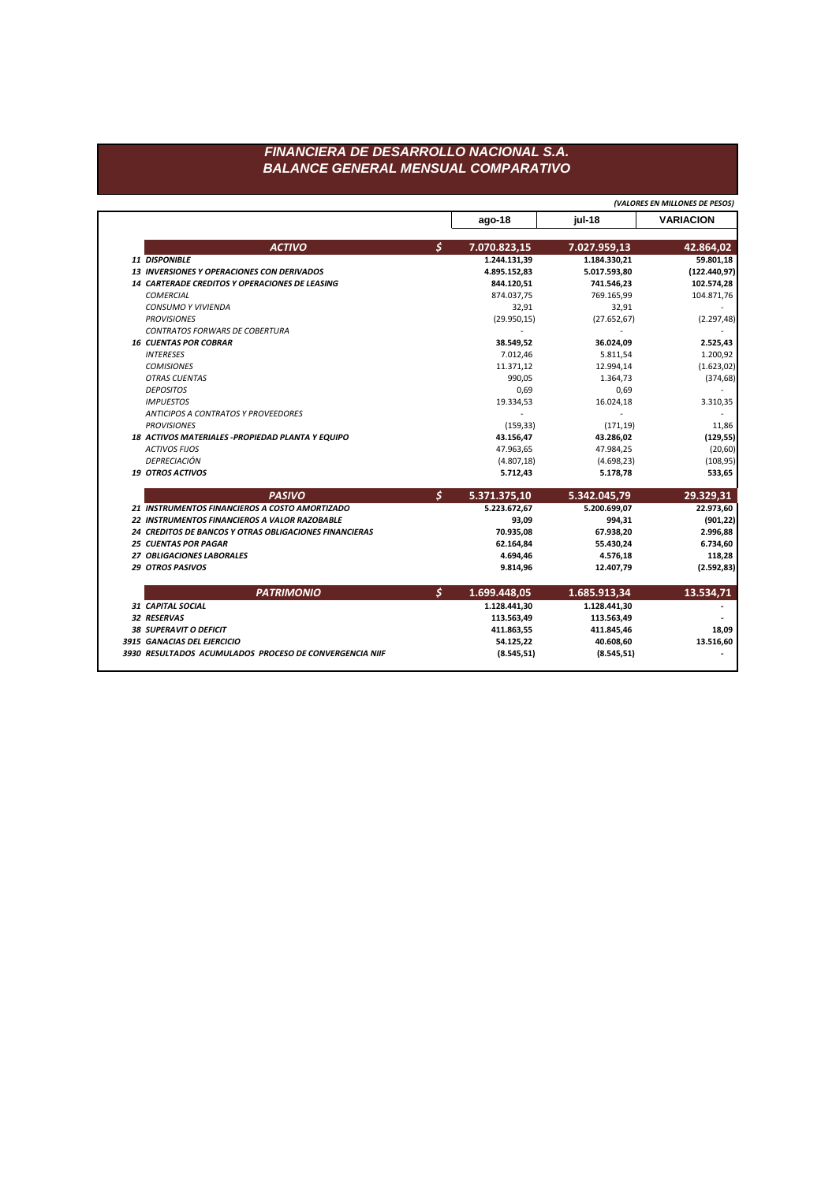## FINANCIERA DE DESARROLLO NACIONAL S.A. **BALANCE GENERAL MENSUAL COMPARATIVO**

(VALORES EN MILLONES DE PESOS)

|                                                        | $ago-18$                      | jul-18       | <b>VARIACION</b> |
|--------------------------------------------------------|-------------------------------|--------------|------------------|
| <b>ACTIVO</b>                                          | $\mathsf{S}$<br>7.070.823,15  | 7.027.959,13 | 42.864,02        |
| 11 DISPONIBLE                                          | 1.244.131,39                  | 1.184.330,21 | 59.801,18        |
| <b>13 INVERSIONES Y OPERACIONES CON DERIVADOS</b>      | 4.895.152,83                  | 5.017.593,80 | (122.440, 97)    |
| 14 CARTERADE CREDITOS Y OPERACIONES DE LEASING         | 844.120,51                    | 741.546,23   | 102.574,28       |
| <b>COMERCIAL</b>                                       | 874.037,75                    | 769.165,99   | 104.871,76       |
| <b>CONSUMO Y VIVIENDA</b>                              | 32,91                         | 32,91        |                  |
| <b>PROVISIONES</b>                                     | (29.950, 15)                  | (27.652, 67) | (2.297, 48)      |
| <b>CONTRATOS FORWARS DE COBERTURA</b>                  |                               |              |                  |
| <b>16 CUENTAS POR COBRAR</b>                           | 38.549,52                     | 36.024,09    | 2.525,43         |
| <b>INTERESES</b>                                       | 7.012,46                      | 5.811,54     | 1.200,92         |
| <b>COMISIONES</b>                                      | 11.371,12                     | 12.994,14    | (1.623, 02)      |
| <b>OTRAS CUENTAS</b>                                   | 990,05                        | 1.364,73     | (374, 68)        |
| <b>DEPOSITOS</b>                                       | 0,69                          | 0,69         |                  |
| <b>IMPUESTOS</b>                                       | 19.334,53                     | 16.024,18    | 3.310,35         |
| ANTICIPOS A CONTRATOS Y PROVEEDORES                    |                               |              |                  |
| <b>PROVISIONES</b>                                     | (159, 33)                     | (171, 19)    | 11,86            |
| 18 ACTIVOS MATERIALES - PROPIEDAD PLANTA Y EQUIPO      | 43.156,47                     | 43.286,02    | (129, 55)        |
| <b>ACTIVOS FIJOS</b>                                   | 47.963,65                     | 47.984,25    | (20, 60)         |
| DEPRECIACIÓN                                           | (4.807, 18)                   | (4.698, 23)  | (108, 95)        |
| <b>19 OTROS ACTIVOS</b>                                | 5.712,43                      | 5.178,78     | 533,65           |
| <b>PASIVO</b>                                          | $\mathcal{S}$<br>5.371.375,10 | 5.342.045,79 | 29.329,31        |
| 21 INSTRUMENTOS FINANCIEROS A COSTO AMORTIZADO         | 5.223.672,67                  | 5.200.699,07 | 22.973,60        |
| 22 INSTRUMENTOS FINANCIEROS A VALOR RAZOBABLE          | 93,09                         | 994,31       | (901, 22)        |
| 24 CREDITOS DE BANCOS Y OTRAS OBLIGACIONES FINANCIERAS | 70.935,08                     | 67.938,20    | 2.996,88         |
| <b>25 CUENTAS POR PAGAR</b>                            | 62.164,84                     | 55.430,24    | 6.734,60         |
| 27 OBLIGACIONES LABORALES                              | 4.694,46                      | 4.576,18     | 118,28           |
| <b>29 OTROS PASIVOS</b>                                | 9.814,96                      | 12.407,79    | (2.592, 83)      |
| <b>PATRIMONIO</b>                                      | Ş<br>1.699.448,05             | 1.685.913,34 | 13.534,71        |
| <b>31 CAPITAL SOCIAL</b>                               | 1.128.441,30                  | 1.128.441,30 |                  |
| 32 RESERVAS                                            | 113.563,49                    | 113.563,49   |                  |
| <b>38 SUPERAVIT O DEFICIT</b>                          | 411.863,55                    | 411.845,46   | 18,09            |
| 3915 GANACIAS DEL EJERCICIO                            | 54.125,22                     | 40.608,60    | 13.516,60        |
|                                                        |                               |              |                  |